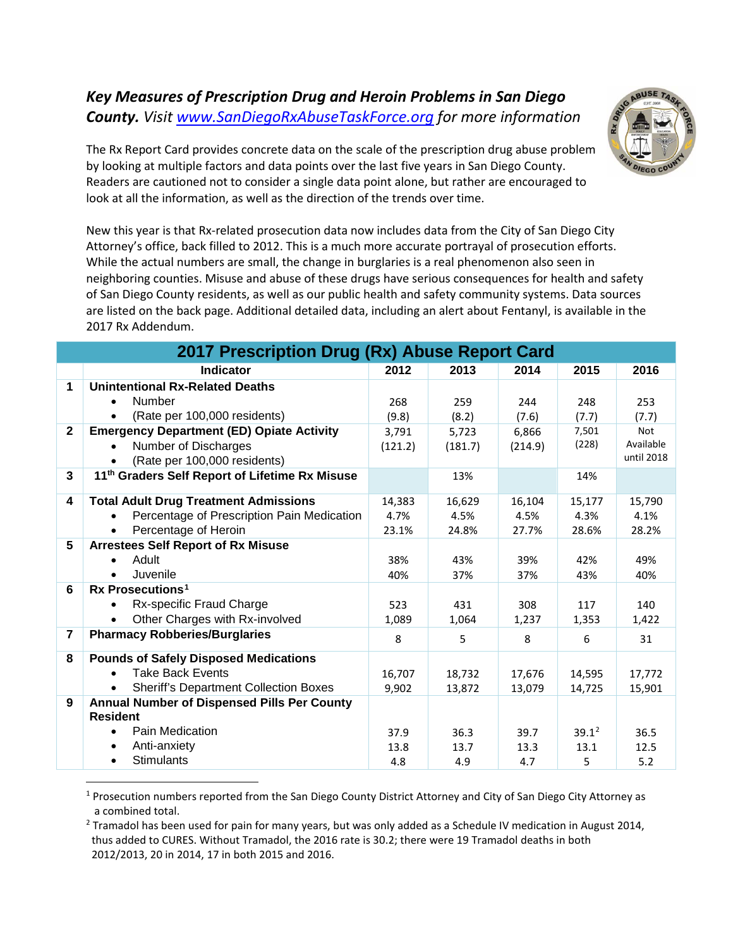## *Key Measures of Prescription Drug and Heroin Problems in San Diego County. Visit [www.SanDiegoRxAbuseTaskForce.org](http://www.sandiegorxabusetaskforce.org/) for more information*



The Rx Report Card provides concrete data on the scale of the prescription drug abuse problem by looking at multiple factors and data points over the last five years in San Diego County. Readers are cautioned not to consider a single data point alone, but rather are encouraged to look at all the information, as well as the direction of the trends over time.

New this year is that Rx-related prosecution data now includes data from the City of San Diego City Attorney's office, back filled to 2012. This is a much more accurate portrayal of prosecution efforts. While the actual numbers are small, the change in burglaries is a real phenomenon also seen in neighboring counties. Misuse and abuse of these drugs have serious consequences for health and safety of San Diego County residents, as well as our public health and safety community systems. Data sources are listed on the back page. Additional detailed data, including an alert about Fentanyl, is available in the 2017 Rx Addendum.

| 2017 Prescription Drug (Rx) Abuse Report Card |                                                                |         |         |         |          |            |  |  |  |
|-----------------------------------------------|----------------------------------------------------------------|---------|---------|---------|----------|------------|--|--|--|
|                                               | <b>Indicator</b>                                               | 2012    | 2013    | 2014    | 2015     | 2016       |  |  |  |
| 1                                             | <b>Unintentional Rx-Related Deaths</b>                         |         |         |         |          |            |  |  |  |
|                                               | <b>Number</b>                                                  | 268     | 259     | 244     | 248      | 253        |  |  |  |
|                                               | (Rate per 100,000 residents)                                   | (9.8)   | (8.2)   | (7.6)   | (7.7)    | (7.7)      |  |  |  |
| $\mathbf{2}$                                  | <b>Emergency Department (ED) Opiate Activity</b>               | 3,791   | 5,723   | 6,866   | 7,501    | <b>Not</b> |  |  |  |
|                                               | Number of Discharges                                           | (121.2) | (181.7) | (214.9) | (228)    | Available  |  |  |  |
|                                               | (Rate per 100,000 residents)                                   |         |         |         |          | until 2018 |  |  |  |
| 3                                             | 11 <sup>th</sup> Graders Self Report of Lifetime Rx Misuse     |         | 13%     |         | 14%      |            |  |  |  |
| 4                                             | <b>Total Adult Drug Treatment Admissions</b>                   | 14,383  | 16,629  | 16,104  | 15,177   | 15,790     |  |  |  |
|                                               | Percentage of Prescription Pain Medication                     | 4.7%    | 4.5%    | 4.5%    | 4.3%     | 4.1%       |  |  |  |
|                                               | Percentage of Heroin                                           | 23.1%   | 24.8%   | 27.7%   | 28.6%    | 28.2%      |  |  |  |
| 5                                             | <b>Arrestees Self Report of Rx Misuse</b>                      |         |         |         |          |            |  |  |  |
|                                               | Adult                                                          | 38%     | 43%     | 39%     | 42%      | 49%        |  |  |  |
|                                               | Juvenile                                                       | 40%     | 37%     | 37%     | 43%      | 40%        |  |  |  |
| 6                                             | Rx Prosecutions <sup>1</sup>                                   |         |         |         |          |            |  |  |  |
|                                               | Rx-specific Fraud Charge                                       | 523     | 431     | 308     | 117      | 140        |  |  |  |
|                                               | Other Charges with Rx-involved                                 | 1,089   | 1,064   | 1,237   | 1,353    | 1,422      |  |  |  |
| $\overline{7}$                                | <b>Pharmacy Robberies/Burglaries</b>                           | 8       | 5       | 8       | 6        | 31         |  |  |  |
| 8                                             | <b>Pounds of Safely Disposed Medications</b>                   |         |         |         |          |            |  |  |  |
|                                               | <b>Take Back Events</b>                                        | 16,707  | 18,732  | 17,676  | 14,595   | 17,772     |  |  |  |
|                                               | <b>Sheriff's Department Collection Boxes</b>                   | 9,902   | 13,872  | 13,079  | 14,725   | 15,901     |  |  |  |
| 9                                             | Annual Number of Dispensed Pills Per County<br><b>Resident</b> |         |         |         |          |            |  |  |  |
|                                               | Pain Medication<br>$\bullet$                                   | 37.9    | 36.3    | 39.7    | $39.1^2$ | 36.5       |  |  |  |
|                                               | Anti-anxiety                                                   | 13.8    | 13.7    | 13.3    | 13.1     | 12.5       |  |  |  |
|                                               | <b>Stimulants</b>                                              | 4.8     | 4.9     | 4.7     | 5        | 5.2        |  |  |  |

<span id="page-0-0"></span> $1$  Prosecution numbers reported from the San Diego County District Attorney and City of San Diego City Attorney as a combined total.

<span id="page-0-1"></span><sup>2</sup> Tramadol has been used for pain for many years, but was only added as a Schedule IV medication in August 2014, thus added to CURES. Without Tramadol, the 2016 rate is 30.2; there were 19 Tramadol deaths in both 2012/2013, 20 in 2014, 17 in both 2015 and 2016.